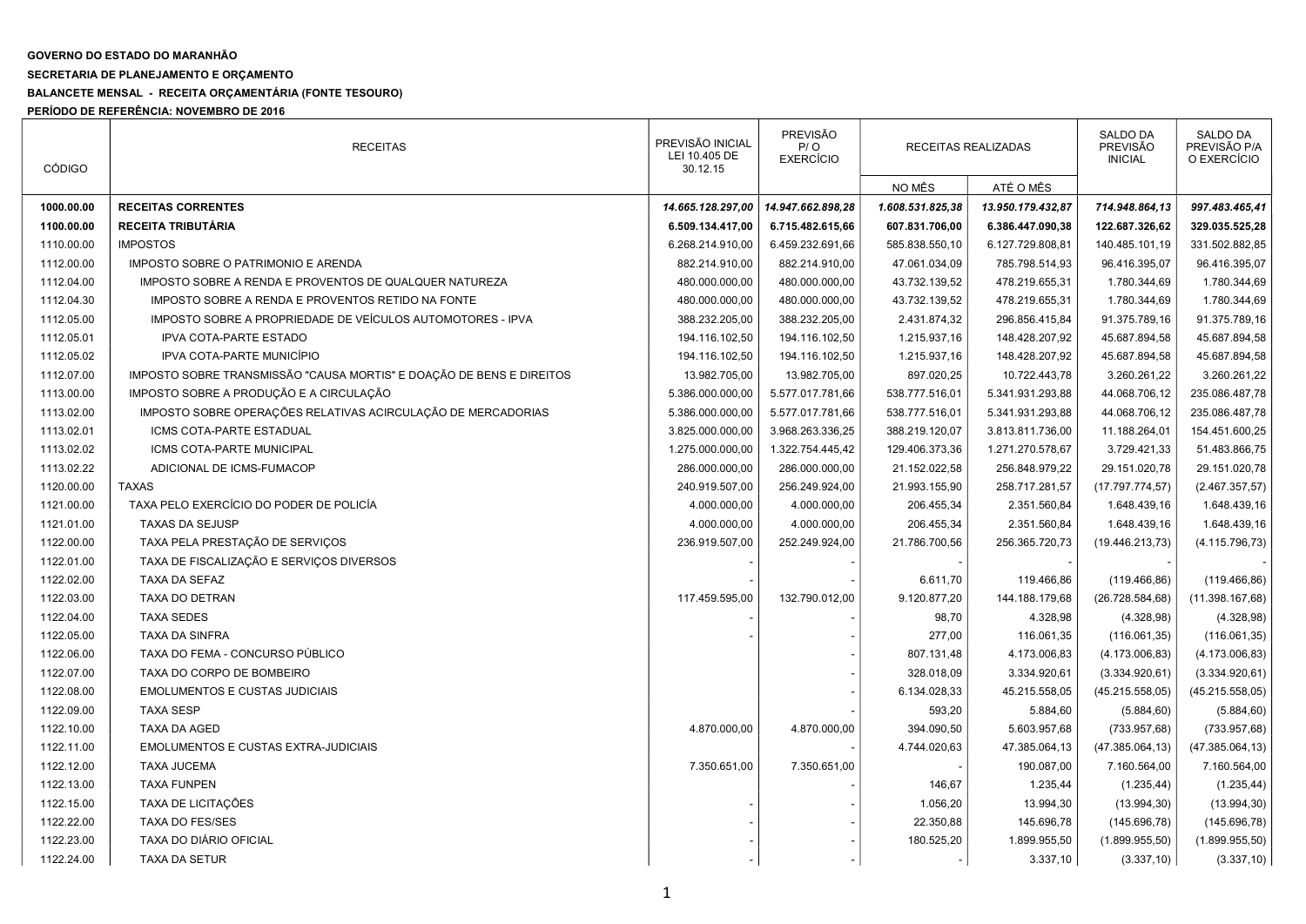## GOVERNO DO ESTADO DO MARANHÃO

## SECRETARIA DE PLANEJAMENTO E ORÇAMENTO

## BALANCETE MENSAL - RECEITA ORÇAMENTÁRIA (FONTE TESOURO)

PERÍODO DE REFERÊNCIA: NOVEMBRO DE 2016

| <b>CÓDIGO</b> | <b>RECEITAS</b>                                                      | PREVISÃO INICIAL<br>LEI 10.405 DE<br>30.12.15 | <b>PREVISÃO</b><br>P/O<br><b>EXERCÍCIO</b> | RECEITAS REALIZADAS |                   | <b>SALDO DA</b><br>PREVISÃO<br><b>INICIAL</b> | <b>SALDO DA</b><br>PREVISÃO P/A<br>O EXERCÍCIO |
|---------------|----------------------------------------------------------------------|-----------------------------------------------|--------------------------------------------|---------------------|-------------------|-----------------------------------------------|------------------------------------------------|
|               |                                                                      |                                               |                                            | NO MÊS              | ATÉ O MÊS         |                                               |                                                |
| 1000.00.00    | <b>RECEITAS CORRENTES</b>                                            | 14.665.128.297,00                             | 14.947.662.898,28                          | 1.608.531.825,38    | 13.950.179.432,87 | 714.948.864,13                                | 997.483.465,41                                 |
| 1100.00.00    | <b>RECEITA TRIBUTÁRIA</b>                                            | 6.509.134.417,00                              | 6.715.482.615,66                           | 607.831.706,00      | 6.386.447.090,38  | 122.687.326,62                                | 329.035.525,28                                 |
| 1110.00.00    | <b>IMPOSTOS</b>                                                      | 6.268.214.910,00                              | 6.459.232.691,66                           | 585.838.550,10      | 6.127.729.808,81  | 140.485.101,19                                | 331.502.882,85                                 |
| 1112.00.00    | IMPOSTO SOBRE O PATRIMONIO E ARENDA                                  | 882.214.910,00                                | 882.214.910,00                             | 47.061.034,09       | 785.798.514,93    | 96.416.395,07                                 | 96.416.395,07                                  |
| 1112.04.00    | IMPOSTO SOBRE A RENDA E PROVENTOS DE QUALQUER NATUREZA               | 480.000.000,00                                | 480.000.000,00                             | 43.732.139,52       | 478.219.655,31    | 1.780.344,69                                  | 1.780.344,69                                   |
| 1112.04.30    | IMPOSTO SOBRE A RENDA E PROVENTOS RETIDO NA FONTE                    | 480.000.000,00                                | 480.000.000,00                             | 43.732.139,52       | 478.219.655,31    | 1.780.344,69                                  | 1.780.344,69                                   |
| 1112.05.00    | IMPOSTO SOBRE A PROPRIEDADE DE VEÍCULOS AUTOMOTORES - IPVA           | 388.232.205,00                                | 388.232.205,00                             | 2.431.874,32        | 296.856.415,84    | 91.375.789,16                                 | 91.375.789,16                                  |
| 1112.05.01    | <b>IPVA COTA-PARTE ESTADO</b>                                        | 194.116.102,50                                | 194.116.102,50                             | 1.215.937,16        | 148.428.207,92    | 45.687.894,58                                 | 45.687.894,58                                  |
| 1112.05.02    | IPVA COTA-PARTE MUNICÍPIO                                            | 194.116.102,50                                | 194.116.102,50                             | 1.215.937,16        | 148.428.207,92    | 45.687.894,58                                 | 45.687.894,58                                  |
| 1112.07.00    | IMPOSTO SOBRE TRANSMISSÃO "CAUSA MORTIS" E DOAÇÃO DE BENS E DIREITOS | 13.982.705,00                                 | 13.982.705,00                              | 897.020,25          | 10.722.443,78     | 3.260.261,22                                  | 3.260.261,22                                   |
| 1113.00.00    | IMPOSTO SOBRE A PRODUÇÃO E A CIRCULAÇÃO                              | 5.386.000.000,00                              | 5.577.017.781,66                           | 538.777.516,01      | 5.341.931.293,88  | 44.068.706,12                                 | 235.086.487,78                                 |
| 1113.02.00    | IMPOSTO SOBRE OPERAÇÕES RELATIVAS ACIRCULAÇÃO DE MERCADORIAS         | 5.386.000.000,00                              | 5.577.017.781,66                           | 538.777.516,01      | 5.341.931.293,88  | 44.068.706,12                                 | 235.086.487,78                                 |
| 1113.02.01    | ICMS COTA-PARTE ESTADUAL                                             | 3.825.000.000,00                              | 3.968.263.336,25                           | 388.219.120,07      | 3.813.811.736,00  | 11.188.264,01                                 | 154.451.600,25                                 |
| 1113.02.02    | ICMS COTA-PARTE MUNICIPAL                                            | 1.275.000.000,00                              | 1.322.754.445,42                           | 129.406.373,36      | 1.271.270.578,67  | 3.729.421,33                                  | 51.483.866,75                                  |
| 1113.02.22    | ADICIONAL DE ICMS-FUMACOP                                            | 286.000.000,00                                | 286.000.000,00                             | 21.152.022,58       | 256.848.979,22    | 29.151.020,78                                 | 29.151.020,78                                  |
| 1120.00.00    | <b>TAXAS</b>                                                         | 240.919.507,00                                | 256.249.924,00                             | 21.993.155,90       | 258.717.281,57    | (17.797.774, 57)                              | (2.467.357, 57)                                |
| 1121.00.00    | TAXA PELO EXERCÍCIO DO PODER DE POLICÍA                              | 4.000.000,00                                  | 4.000.000,00                               | 206.455,34          | 2.351.560,84      | 1.648.439,16                                  | 1.648.439,16                                   |
| 1121.01.00    | <b>TAXAS DA SEJUSP</b>                                               | 4.000.000,00                                  | 4.000.000,00                               | 206.455,34          | 2.351.560,84      | 1.648.439,16                                  | 1.648.439,16                                   |
| 1122.00.00    | TAXA PELA PRESTAÇÃO DE SERVIÇOS                                      | 236.919.507,00                                | 252.249.924,00                             | 21.786.700,56       | 256.365.720,73    | (19.446.213,73)                               | (4.115.796, 73)                                |
| 1122.01.00    | TAXA DE FISCALIZAÇÃO E SERVIÇOS DIVERSOS                             |                                               |                                            |                     |                   |                                               |                                                |
| 1122.02.00    | TAXA DA SEFAZ                                                        |                                               |                                            | 6.611,70            | 119.466,86        | (119.466, 86)                                 | (119.466, 86)                                  |
| 1122.03.00    | TAXA DO DETRAN                                                       | 117.459.595,00                                | 132.790.012,00                             | 9.120.877,20        | 144.188.179,68    | (26.728.584, 68)                              | (11.398.167,68)                                |
| 1122.04.00    | <b>TAXA SEDES</b>                                                    |                                               |                                            | 98,70               | 4.328,98          | (4.328, 98)                                   | (4.328, 98)                                    |
| 1122.05.00    | <b>TAXA DA SINFRA</b>                                                |                                               |                                            | 277,00              | 116.061,35        | (116.061, 35)                                 | (116.061, 35)                                  |
| 1122.06.00    | TAXA DO FEMA - CONCURSO PÚBLICO                                      |                                               |                                            | 807.131,48          | 4.173.006,83      | (4.173.006, 83)                               | (4.173.006, 83)                                |
| 1122.07.00    | TAXA DO CORPO DE BOMBEIRO                                            |                                               |                                            | 328.018,09          | 3.334.920,61      | (3.334.920, 61)                               | (3.334.920, 61)                                |
| 1122.08.00    | <b>EMOLUMENTOS E CUSTAS JUDICIAIS</b>                                |                                               |                                            | 6.134.028,33        | 45.215.558,05     | (45.215.558,05)                               | (45.215.558,05)                                |
| 1122.09.00    | <b>TAXA SESP</b>                                                     |                                               |                                            | 593,20              | 5.884,60          | (5.884, 60)                                   | (5.884, 60)                                    |
| 1122.10.00    | TAXA DA AGED                                                         | 4.870.000,00                                  | 4.870.000,00                               | 394.090,50          | 5.603.957,68      | (733.957,68)                                  | (733.957, 68)                                  |
| 1122.11.00    | <b>EMOLUMENTOS E CUSTAS EXTRA-JUDICIAIS</b>                          |                                               |                                            | 4.744.020,63        | 47.385.064,13     | (47.385.064, 13)                              | (47.385.064, 13)                               |
| 1122.12.00    | <b>TAXA JUCEMA</b>                                                   | 7.350.651,00                                  | 7.350.651,00                               |                     | 190.087,00        | 7.160.564,00                                  | 7.160.564,00                                   |
| 1122.13.00    | <b>TAXA FUNPEN</b>                                                   |                                               |                                            | 146,67              | 1.235,44          | (1.235, 44)                                   | (1.235, 44)                                    |
| 1122.15.00    | TAXA DE LICITAÇÕES                                                   |                                               |                                            | 1.056,20            | 13.994,30         | (13.994, 30)                                  | (13.994, 30)                                   |
| 1122.22.00    | <b>TAXA DO FES/SES</b>                                               |                                               |                                            | 22.350,88           | 145.696,78        | (145.696,78)                                  | (145.696,78)                                   |
| 1122.23.00    | TAXA DO DIÁRIO OFICIAL                                               |                                               |                                            | 180.525,20          | 1.899.955,50      | (1.899.955, 50)                               | (1.899.955, 50)                                |
| 1122.24.00    | <b>TAXA DA SETUR</b>                                                 |                                               |                                            |                     | 3.337,10          | (3.337, 10)                                   | (3.337, 10)                                    |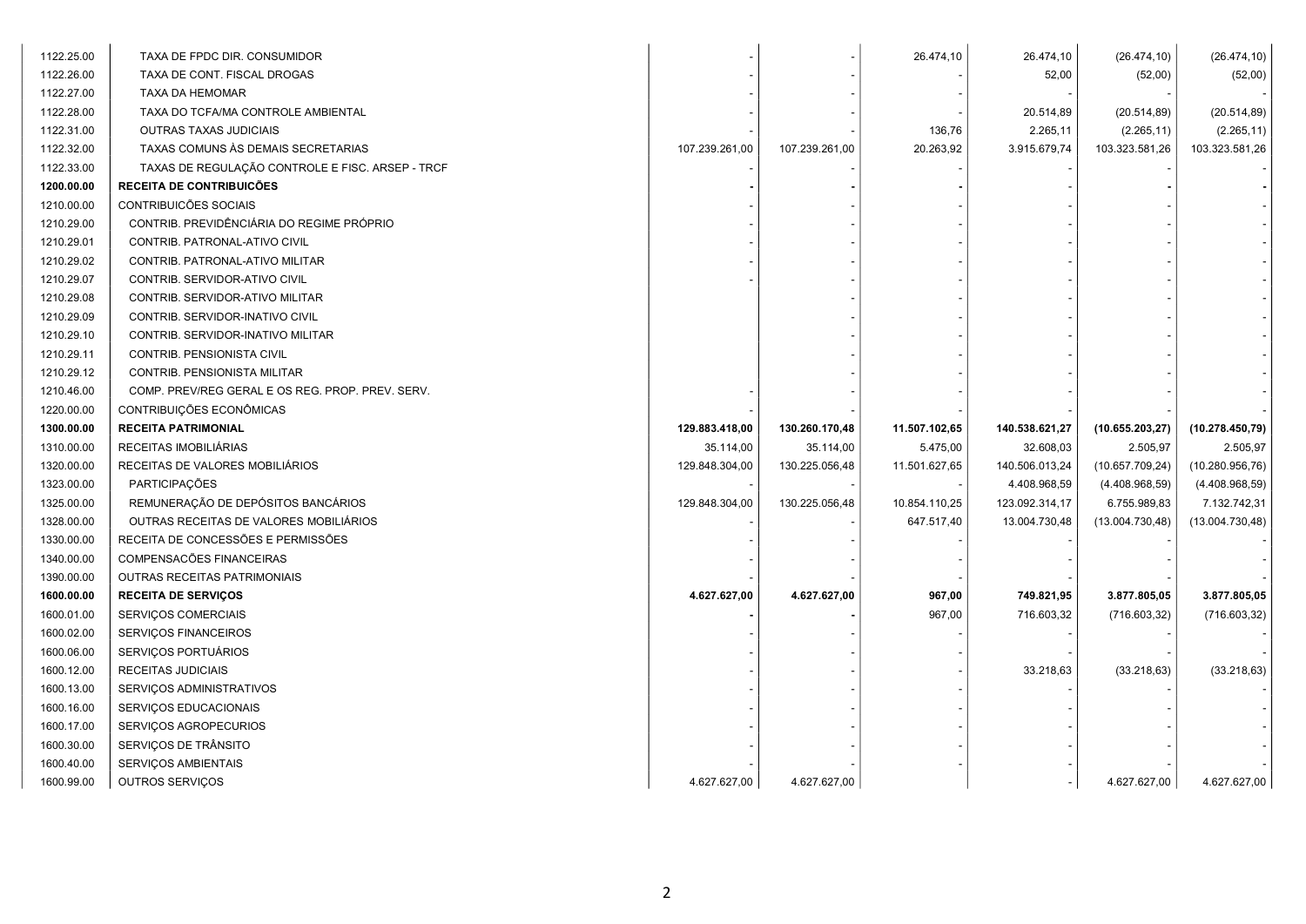| 1122.25.00 | TAXA DE FPDC DIR. CONSUMIDOR                     |                |                | 26.474,10     | 26.474,10      | (26.474, 10)     | (26.474, 10)     |
|------------|--------------------------------------------------|----------------|----------------|---------------|----------------|------------------|------------------|
| 1122.26.00 | TAXA DE CONT. FISCAL DROGAS                      |                |                |               | 52,00          | (52,00)          | (52,00)          |
| 1122.27.00 | TAXA DA HEMOMAR                                  |                |                |               |                |                  |                  |
| 1122.28.00 | TAXA DO TCFA/MA CONTROLE AMBIENTAL               |                |                |               | 20.514,89      | (20.514, 89)     | (20.514, 89)     |
| 1122.31.00 | OUTRAS TAXAS JUDICIAIS                           |                |                | 136,76        | 2.265,11       | (2.265, 11)      | (2.265, 11)      |
| 1122.32.00 | TAXAS COMUNS ÀS DEMAIS SECRETARIAS               | 107.239.261,00 | 107.239.261,00 | 20.263,92     | 3.915.679,74   | 103.323.581,26   | 103.323.581,26   |
| 1122.33.00 | TAXAS DE REGULAÇÃO CONTROLE E FISC. ARSEP - TRCF |                |                |               |                |                  |                  |
| 1200.00.00 | <b>RECEITA DE CONTRIBUICÕES</b>                  |                |                |               |                |                  |                  |
| 1210.00.00 | CONTRIBUICÕES SOCIAIS                            |                |                |               |                |                  |                  |
| 1210.29.00 | CONTRIB. PREVIDÊNCIÁRIA DO REGIME PRÓPRIO        |                |                |               |                |                  |                  |
| 1210.29.01 | CONTRIB. PATRONAL-ATIVO CIVIL                    |                |                |               |                |                  |                  |
| 1210.29.02 | CONTRIB. PATRONAL-ATIVO MILITAR                  |                |                |               |                |                  |                  |
| 1210.29.07 | CONTRIB. SERVIDOR-ATIVO CIVIL                    |                |                |               |                |                  |                  |
| 1210.29.08 | CONTRIB. SERVIDOR-ATIVO MILITAR                  |                |                |               |                |                  |                  |
| 1210.29.09 | CONTRIB. SERVIDOR-INATIVO CIVIL                  |                |                |               |                |                  |                  |
| 1210.29.10 | CONTRIB. SERVIDOR-INATIVO MILITAR                |                |                |               |                |                  |                  |
| 1210.29.11 | CONTRIB. PENSIONISTA CIVIL                       |                |                |               |                |                  |                  |
| 1210.29.12 | CONTRIB. PENSIONISTA MILITAR                     |                |                |               |                |                  |                  |
| 1210.46.00 | COMP. PREV/REG GERAL E OS REG. PROP. PREV. SERV. |                |                |               |                |                  |                  |
| 1220.00.00 | CONTRIBUIÇÕES ECONÔMICAS                         |                |                |               |                |                  |                  |
|            |                                                  |                |                |               |                |                  |                  |
| 1300.00.00 | <b>RECEITA PATRIMONIAL</b>                       | 129.883.418,00 | 130.260.170,48 | 11.507.102,65 | 140.538.621,27 | (10.655.203, 27) | (10.278.450,79)  |
| 1310.00.00 | RECEITAS IMOBILIÁRIAS                            | 35.114,00      | 35.114,00      | 5.475,00      | 32.608,03      | 2.505,97         | 2.505,97         |
| 1320.00.00 | RECEITAS DE VALORES MOBILIÁRIOS                  | 129.848.304,00 | 130.225.056,48 | 11.501.627,65 | 140.506.013,24 | (10.657.709, 24) | (10.280.956,76)  |
| 1323.00.00 | <b>PARTICIPAÇÕES</b>                             |                |                |               | 4.408.968,59   | (4.408.968,59)   | (4.408.968,59)   |
| 1325.00.00 | REMUNERAÇÃO DE DEPÓSITOS BANCÁRIOS               | 129.848.304,00 | 130.225.056,48 | 10.854.110,25 | 123.092.314,17 | 6.755.989,83     | 7.132.742,31     |
| 1328.00.00 | OUTRAS RECEITAS DE VALORES MOBILIÁRIOS           |                |                | 647.517,40    | 13.004.730,48  | (13.004.730, 48) | (13.004.730, 48) |
| 1330.00.00 | RECEITA DE CONCESSÕES E PERMISSÕES               |                |                |               |                |                  |                  |
| 1340.00.00 | COMPENSACÕES FINANCEIRAS                         |                |                |               |                |                  |                  |
| 1390.00.00 | OUTRAS RECEITAS PATRIMONIAIS                     |                |                |               |                |                  |                  |
| 1600.00.00 | <b>RECEITA DE SERVIÇOS</b>                       | 4.627.627,00   | 4.627.627,00   | 967,00        | 749.821,95     | 3.877.805,05     | 3.877.805,05     |
| 1600.01.00 | SERVIÇOS COMERCIAIS                              |                |                | 967,00        | 716.603,32     | (716.603, 32)    | (716.603, 32)    |
| 1600.02.00 | SERVIÇOS FINANCEIROS                             |                |                |               |                |                  |                  |
| 1600.06.00 | SERVIÇOS PORTUÁRIOS                              |                |                |               |                |                  |                  |
| 1600.12.00 | <b>RECEITAS JUDICIAIS</b>                        |                |                |               | 33.218,63      | (33.218, 63)     | (33.218, 63)     |
| 1600.13.00 | SERVIÇOS ADMINISTRATIVOS                         |                |                |               |                |                  |                  |
| 1600.16.00 | SERVIÇOS EDUCACIONAIS                            |                |                |               |                |                  |                  |
| 1600.17.00 | SERVIÇOS AGROPECURIOS                            |                |                |               |                |                  |                  |
| 1600.30.00 | SERVIÇOS DE TRÂNSITO                             |                |                |               |                |                  |                  |
| 1600.40.00 | SERVIÇOS AMBIENTAIS                              |                |                |               |                |                  |                  |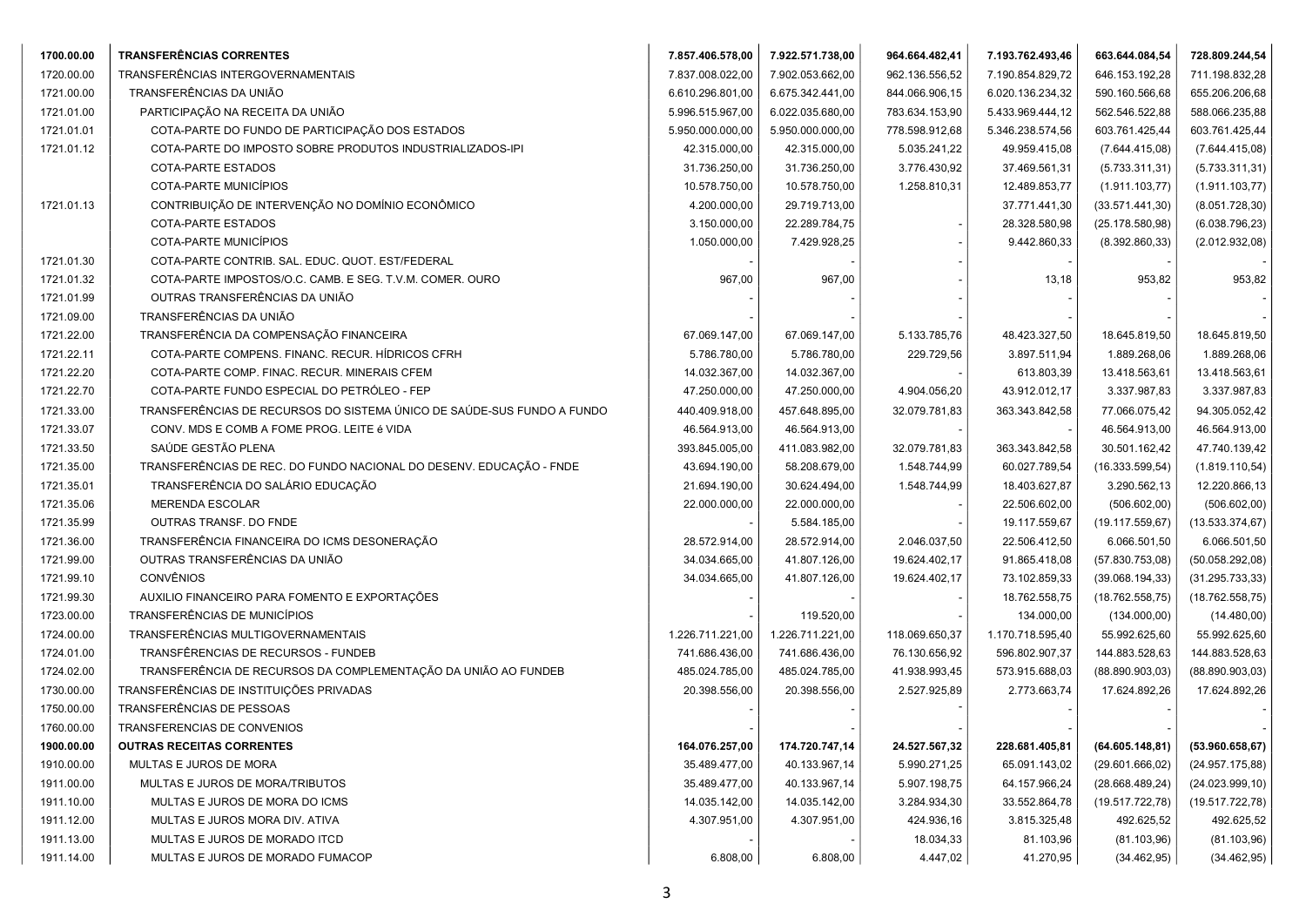| 1700.00.00 | <b>TRANSFERÊNCIAS CORRENTES</b>                                        | 7.857.406.578,00 | 7.922.571.738,00 | 964.664.482,41 | 7.193.762.493,46 | 663.644.084,54   | 728.809.244,54   |
|------------|------------------------------------------------------------------------|------------------|------------------|----------------|------------------|------------------|------------------|
| 1720.00.00 | TRANSFERÊNCIAS INTERGOVERNAMENTAIS                                     | 7.837.008.022,00 | 7.902.053.662,00 | 962.136.556,52 | 7.190.854.829,72 | 646.153.192,28   | 711.198.832,28   |
| 1721.00.00 | TRANSFERÊNCIAS DA UNIÃO                                                | 6.610.296.801,00 | 6.675.342.441,00 | 844.066.906,15 | 6.020.136.234,32 | 590.160.566,68   | 655.206.206,68   |
| 1721.01.00 | PARTICIPAÇÃO NA RECEITA DA UNIÃO                                       | 5.996.515.967,00 | 6.022.035.680,00 | 783.634.153,90 | 5.433.969.444,12 | 562.546.522,88   | 588.066.235,88   |
| 1721.01.01 | COTA-PARTE DO FUNDO DE PARTICIPAÇÃO DOS ESTADOS                        | 5.950.000.000,00 | 5.950.000.000,00 | 778.598.912,68 | 5.346.238.574,56 | 603.761.425,44   | 603.761.425,44   |
| 1721.01.12 | COTA-PARTE DO IMPOSTO SOBRE PRODUTOS INDUSTRIALIZADOS-IPI              | 42.315.000,00    | 42.315.000,00    | 5.035.241,22   | 49.959.415,08    | (7.644.415,08)   | (7.644.415,08)   |
|            | COTA-PARTE ESTADOS                                                     | 31.736.250,00    | 31.736.250,00    | 3.776.430,92   | 37.469.561,31    | (5.733.311,31)   | (5.733.311, 31)  |
|            | COTA-PARTE MUNICÍPIOS                                                  | 10.578.750,00    | 10.578.750,00    | 1.258.810,31   | 12.489.853,77    | (1.911.103, 77)  | (1.911.103, 77)  |
| 1721.01.13 | CONTRIBUIÇÃO DE INTERVENÇÃO NO DOMÍNIO ECONÔMICO                       | 4.200.000,00     | 29.719.713,00    |                | 37.771.441,30    | (33.571.441,30)  | (8.051.728, 30)  |
|            | <b>COTA-PARTE ESTADOS</b>                                              | 3.150.000,00     | 22.289.784,75    |                | 28.328.580,98    | (25.178.580,98)  | (6.038.796, 23)  |
|            | COTA-PARTE MUNICÍPIOS                                                  | 1.050.000,00     | 7.429.928,25     |                | 9.442.860,33     | (8.392.860, 33)  | (2.012.932,08)   |
| 1721.01.30 | COTA-PARTE CONTRIB. SAL. EDUC. QUOT. EST/FEDERAL                       |                  |                  |                |                  |                  |                  |
| 1721.01.32 | COTA-PARTE IMPOSTOS/O.C. CAMB. E SEG. T.V.M. COMER. OURO               | 967,00           | 967,00           |                | 13,18            | 953,82           | 953,82           |
| 1721.01.99 | OUTRAS TRANSFERÊNCIAS DA UNIÃO                                         |                  |                  |                |                  |                  |                  |
| 1721.09.00 | TRANSFERÊNCIAS DA UNIÃO                                                |                  |                  |                |                  |                  |                  |
| 1721.22.00 | TRANSFERÊNCIA DA COMPENSAÇÃO FINANCEIRA                                | 67.069.147,00    | 67.069.147,00    | 5.133.785,76   | 48.423.327,50    | 18.645.819,50    | 18.645.819,50    |
| 1721.22.11 | COTA-PARTE COMPENS. FINANC. RECUR. HÍDRICOS CFRH                       | 5.786.780,00     | 5.786.780,00     | 229.729,56     | 3.897.511,94     | 1.889.268,06     | 1.889.268,06     |
| 1721.22.20 | COTA-PARTE COMP. FINAC. RECUR. MINERAIS CFEM                           | 14.032.367,00    | 14.032.367,00    |                | 613.803,39       | 13.418.563,61    | 13.418.563,61    |
| 1721.22.70 | COTA-PARTE FUNDO ESPECIAL DO PETRÓLEO - FEP                            | 47.250.000,00    | 47.250.000,00    | 4.904.056,20   | 43.912.012,17    | 3.337.987,83     | 3.337.987,83     |
| 1721.33.00 | TRANSFERÊNCIAS DE RECURSOS DO SISTEMA ÚNICO DE SAÚDE-SUS FUNDO A FUNDO | 440.409.918,00   | 457.648.895,00   | 32.079.781,83  | 363.343.842,58   | 77.066.075,42    | 94.305.052,42    |
| 1721.33.07 | CONV. MDS E COMB A FOME PROG. LEITE é VIDA                             | 46.564.913,00    | 46.564.913,00    |                |                  | 46.564.913,00    | 46.564.913,00    |
| 1721.33.50 | SAÚDE GESTÃO PLENA                                                     | 393.845.005,00   | 411.083.982,00   | 32.079.781,83  | 363.343.842,58   | 30.501.162,42    | 47.740.139,42    |
| 1721.35.00 | TRANSFERÊNCIAS DE REC. DO FUNDO NACIONAL DO DESENV. EDUCAÇÃO - FNDE    | 43.694.190,00    | 58.208.679,00    | 1.548.744,99   | 60.027.789,54    | (16.333.599, 54) | (1.819.110, 54)  |
| 1721.35.01 | TRANSFERÊNCIA DO SALÁRIO EDUCAÇÃO                                      | 21.694.190,00    | 30.624.494,00    | 1.548.744,99   | 18.403.627,87    | 3.290.562,13     | 12.220.866,13    |
| 1721.35.06 | <b>MERENDA ESCOLAR</b>                                                 | 22.000.000,00    | 22.000.000,00    |                | 22.506.602,00    | (506.602,00)     | (506.602,00)     |
| 1721.35.99 | OUTRAS TRANSF. DO FNDE                                                 |                  | 5.584.185,00     |                | 19.117.559,67    | (19.117.559, 67) | (13.533.374, 67) |
| 1721.36.00 | TRANSFERÊNCIA FINANCEIRA DO ICMS DESONERAÇÃO                           | 28.572.914,00    | 28.572.914,00    | 2.046.037,50   | 22.506.412,50    | 6.066.501,50     | 6.066.501,50     |
| 1721.99.00 | OUTRAS TRANSFERÊNCIAS DA UNIÃO                                         | 34.034.665,00    | 41.807.126,00    | 19.624.402,17  | 91.865.418,08    | (57.830.753,08)  | (50.058.292,08)  |
| 1721.99.10 | <b>CONVÊNIOS</b>                                                       | 34.034.665,00    | 41.807.126,00    | 19.624.402,17  | 73.102.859,33    | (39.068.194, 33) | (31.295.733,33)  |
| 1721.99.30 | AUXILIO FINANCEIRO PARA FOMENTO E EXPORTAÇÕES                          |                  |                  |                | 18.762.558,75    | (18.762.558,75)  | (18.762.558,75)  |
| 1723.00.00 | TRANSFERÊNCIAS DE MUNICÍPIOS                                           |                  | 119.520,00       |                | 134.000,00       | (134.000,00)     | (14.480,00)      |
| 1724.00.00 | TRANSFERÊNCIAS MULTIGOVERNAMENTAIS                                     | 1.226.711.221,00 | 1.226.711.221,00 | 118.069.650,37 | 1.170.718.595,40 | 55.992.625,60    | 55.992.625,60    |
| 1724.01.00 | TRANSFÊRENCIAS DE RECURSOS - FUNDEB                                    | 741.686.436,00   | 741.686.436,00   | 76.130.656,92  | 596.802.907,37   | 144.883.528,63   | 144.883.528,63   |
| 1724.02.00 | TRANSFERÊNCIA DE RECURSOS DA COMPLEMENTAÇÃO DA UNIÃO AO FUNDEB         | 485.024.785,00   | 485.024.785,00   | 41.938.993,45  | 573.915.688,03   | (88.890.903,03)  | (88.890.903,03)  |
| 1730.00.00 | TRANSFERÊNCIAS DE INSTITUIÇÕES PRIVADAS                                | 20.398.556,00    | 20.398.556,00    | 2.527.925,89   | 2.773.663,74     | 17.624.892,26    | 17.624.892,26    |
| 1750.00.00 | TRANSFERÊNCIAS DE PESSOAS                                              |                  |                  |                |                  |                  |                  |
| 1760.00.00 | TRANSFERENCIAS DE CONVENIOS                                            |                  |                  |                |                  |                  |                  |
| 1900.00.00 | <b>OUTRAS RECEITAS CORRENTES</b>                                       | 164.076.257,00   | 174.720.747,14   | 24.527.567,32  | 228.681.405,81   | (64.605.148, 81) | (53.960.658, 67) |
| 1910.00.00 | MULTAS E JUROS DE MORA                                                 | 35.489.477,00    | 40.133.967,14    | 5.990.271,25   | 65.091.143,02    | (29.601.666, 02) | (24.957.175,88)  |
| 1911.00.00 | MULTAS E JUROS DE MORA/TRIBUTOS                                        | 35.489.477,00    | 40.133.967,14    | 5.907.198,75   | 64.157.966,24    | (28.668.489, 24) | (24.023.999, 10) |
| 1911.10.00 | MULTAS E JUROS DE MORA DO ICMS                                         | 14.035.142,00    | 14.035.142,00    | 3.284.934,30   | 33.552.864,78    | (19.517.722,78)  | (19.517.722,78)  |
| 1911.12.00 | MULTAS E JUROS MORA DIV. ATIVA                                         | 4.307.951,00     | 4.307.951,00     | 424.936,16     | 3.815.325,48     | 492.625,52       | 492.625,52       |
| 1911.13.00 | MULTAS E JUROS DE MORADO ITCD                                          |                  |                  | 18.034,33      | 81.103,96        | (81.103,96)      | (81.103,96)      |
| 1911.14.00 | MULTAS E JUROS DE MORADO FUMACOP                                       | 6.808,00         | 6.808,00         | 4.447,02       | 41.270,95        | (34.462, 95)     | (34.462, 95)     |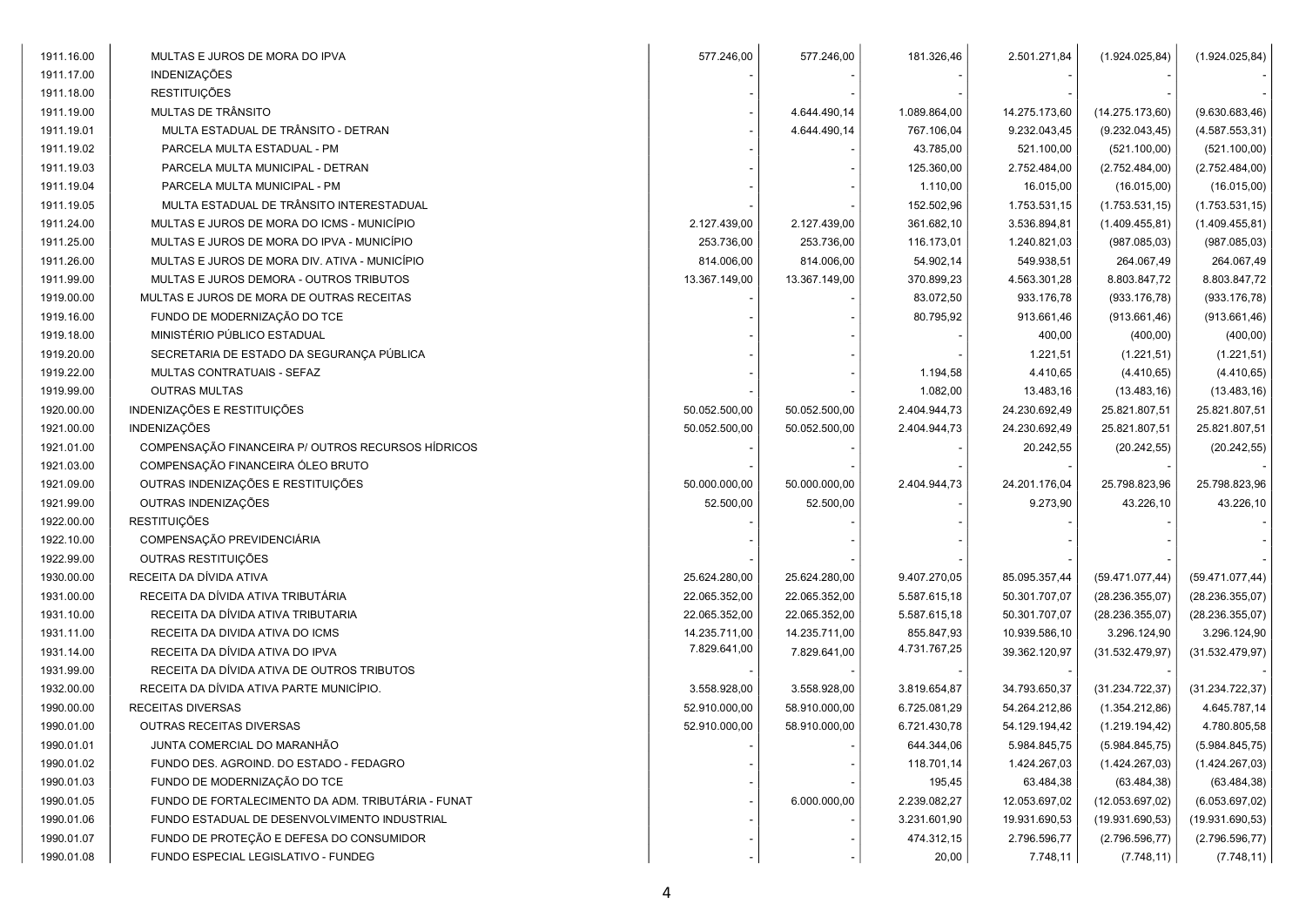| 1911.16.00 | MULTAS E JUROS DE MORA DO IPVA                     | 577.246,00    | 577.246,00    | 181.326,46   | 2.501.271,84  | (1.924.025, 84)  | (1.924.025, 84)  |
|------------|----------------------------------------------------|---------------|---------------|--------------|---------------|------------------|------------------|
| 1911.17.00 | <b>INDENIZAÇÕES</b>                                |               |               |              |               |                  |                  |
| 1911.18.00 | <b>RESTITUIÇÕES</b>                                |               |               |              |               |                  |                  |
| 1911.19.00 | MULTAS DE TRÂNSITO                                 |               | 4.644.490,14  | 1.089.864,00 | 14.275.173,60 | (14.275.173,60)  | (9.630.683,46)   |
| 1911.19.01 | MULTA ESTADUAL DE TRÂNSITO - DETRAN                |               | 4.644.490,14  | 767.106,04   | 9.232.043,45  | (9.232.043, 45)  | (4.587.553,31)   |
| 1911.19.02 | PARCELA MULTA ESTADUAL - PM                        |               |               | 43.785,00    | 521.100,00    | (521.100,00)     | (521.100,00)     |
| 1911.19.03 | PARCELA MULTA MUNICIPAL - DETRAN                   |               |               | 125.360,00   | 2.752.484,00  | (2.752.484,00)   | (2.752.484,00)   |
| 1911.19.04 | PARCELA MULTA MUNICIPAL - PM                       |               |               | 1.110,00     | 16.015,00     | (16.015,00)      | (16.015,00)      |
| 1911.19.05 | MULTA ESTADUAL DE TRÂNSITO INTERESTADUAL           |               |               | 152.502,96   | 1.753.531,15  | (1.753.531, 15)  | (1.753.531, 15)  |
| 1911.24.00 | MULTAS E JUROS DE MORA DO ICMS - MUNICÍPIO         | 2.127.439,00  | 2.127.439,00  | 361.682,10   | 3.536.894,81  | (1.409.455, 81)  | (1.409.455, 81)  |
| 1911.25.00 | MULTAS E JUROS DE MORA DO IPVA - MUNICÍPIO         | 253.736,00    | 253.736,00    | 116.173,01   | 1.240.821,03  | (987.085, 03)    | (987.085, 03)    |
| 1911.26.00 | MULTAS E JUROS DE MORA DIV. ATIVA - MUNICÍPIO      | 814.006,00    | 814.006,00    | 54.902,14    | 549.938,51    | 264.067,49       | 264.067,49       |
| 1911.99.00 | MULTAS E JUROS DEMORA - OUTROS TRIBUTOS            | 13.367.149,00 | 13.367.149,00 | 370.899,23   | 4.563.301,28  | 8.803.847,72     | 8.803.847,72     |
| 1919.00.00 | MULTAS E JUROS DE MORA DE OUTRAS RECEITAS          |               |               | 83.072,50    | 933.176,78    | (933.176,78)     | (933.176, 78)    |
| 1919.16.00 | FUNDO DE MODERNIZAÇÃO DO TCE                       |               |               | 80.795,92    | 913.661,46    | (913.661, 46)    | (913.661,46)     |
| 1919.18.00 | MINISTÉRIO PÚBLICO ESTADUAL                        |               |               |              | 400,00        | (400,00)         | (400, 00)        |
| 1919.20.00 | SECRETARIA DE ESTADO DA SEGURANÇA PÚBLICA          |               |               |              | 1.221,51      | (1.221, 51)      | (1.221, 51)      |
| 1919.22.00 | MULTAS CONTRATUAIS - SEFAZ                         |               |               | 1.194,58     | 4.410,65      | (4.410, 65)      | (4.410, 65)      |
| 1919.99.00 | <b>OUTRAS MULTAS</b>                               |               |               | 1.082,00     | 13.483,16     | (13.483, 16)     | (13.483, 16)     |
| 1920.00.00 | INDENIZAÇÕES E RESTITUIÇÕES                        | 50.052.500,00 | 50.052.500,00 | 2.404.944,73 | 24.230.692,49 | 25.821.807,51    | 25.821.807,51    |
| 1921.00.00 | <b>INDENIZAÇÕES</b>                                | 50.052.500,00 | 50.052.500,00 | 2.404.944,73 | 24.230.692,49 | 25.821.807,51    | 25.821.807,51    |
| 1921.01.00 | COMPENSAÇÃO FINANCEIRA P/ OUTROS RECURSOS HÍDRICOS |               |               |              | 20.242,55     | (20.242, 55)     | (20.242, 55)     |
| 1921.03.00 | COMPENSAÇÃO FINANCEIRA ÓLEO BRUTO                  |               |               |              |               |                  |                  |
| 1921.09.00 | OUTRAS INDENIZAÇÕES E RESTITUIÇÕES                 | 50.000.000,00 | 50.000.000,00 | 2.404.944,73 | 24.201.176,04 | 25.798.823,96    | 25.798.823,96    |
| 1921.99.00 | OUTRAS INDENIZAÇÕES                                | 52.500,00     | 52.500,00     |              | 9.273,90      | 43.226,10        | 43.226,10        |
| 1922.00.00 | <b>RESTITUIÇÕES</b>                                |               |               |              |               |                  |                  |
| 1922.10.00 | COMPENSAÇÃO PREVIDENCIÁRIA                         |               |               |              |               |                  |                  |
| 1922.99.00 | OUTRAS RESTITUIÇÕES                                |               |               |              |               |                  |                  |
| 1930.00.00 | RECEITA DA DÍVIDA ATIVA                            | 25.624.280,00 | 25.624.280,00 | 9.407.270,05 | 85.095.357,44 | (59.471.077, 44) | (59.471.077, 44) |
| 1931.00.00 | RECEITA DA DÍVIDA ATIVA TRIBUTÁRIA                 | 22.065.352,00 | 22.065.352,00 | 5.587.615,18 | 50.301.707,07 | (28.236.355,07)  | (28.236.355,07)  |
| 1931.10.00 | RECEITA DA DÍVIDA ATIVA TRIBUTARIA                 | 22.065.352,00 | 22.065.352,00 | 5.587.615,18 | 50.301.707,07 | (28.236.355,07)  | (28.236.355,07)  |
| 1931.11.00 | RECEITA DA DIVIDA ATIVA DO ICMS                    | 14.235.711,00 | 14.235.711,00 | 855.847,93   | 10.939.586,10 | 3.296.124,90     | 3.296.124,90     |
| 1931.14.00 | RECEITA DA DÍVIDA ATIVA DO IPVA                    | 7.829.641,00  | 7.829.641,00  | 4.731.767,25 | 39.362.120,97 | (31.532.479.97)  | (31.532.479.97)  |
| 1931.99.00 | RECEITA DA DÍVIDA ATIVA DE OUTROS TRIBUTOS         |               |               |              |               |                  |                  |
| 1932.00.00 | RECEITA DA DÍVIDA ATIVA PARTE MUNICÍPIO.           | 3.558.928,00  | 3.558.928,00  | 3.819.654,87 | 34.793.650,37 | (31.234.722, 37) | (31.234.722, 37) |
| 1990.00.00 | RECEITAS DIVERSAS                                  | 52.910.000,00 | 58.910.000,00 | 6.725.081,29 | 54.264.212,86 | (1.354.212,86)   | 4.645.787,14     |
| 1990.01.00 | OUTRAS RECEITAS DIVERSAS                           | 52.910.000,00 | 58.910.000,00 | 6.721.430,78 | 54.129.194,42 | (1.219.194, 42)  | 4.780.805,58     |
| 1990.01.01 | JUNTA COMERCIAL DO MARANHÃO                        |               |               | 644.344,06   | 5.984.845,75  | (5.984.845,75)   | (5.984.845,75)   |
| 1990.01.02 | FUNDO DES. AGROIND. DO ESTADO - FEDAGRO            |               |               | 118.701,14   | 1.424.267,03  | (1.424.267,03)   | (1.424.267,03)   |
| 1990.01.03 | FUNDO DE MODERNIZAÇÃO DO TCE                       |               |               | 195,45       | 63.484,38     | (63.484, 38)     | (63.484, 38)     |
| 1990.01.05 | FUNDO DE FORTALECIMENTO DA ADM. TRIBUTÁRIA - FUNAT |               | 6.000.000,00  | 2.239.082,27 | 12.053.697,02 | (12.053.697,02)  | (6.053.697,02)   |
| 1990.01.06 | FUNDO ESTADUAL DE DESENVOLVIMENTO INDUSTRIAL       |               |               | 3.231.601,90 | 19.931.690,53 | (19.931.690, 53) | (19.931.690, 53) |
| 1990.01.07 | FUNDO DE PROTEÇÃO E DEFESA DO CONSUMIDOR           |               |               | 474.312,15   | 2.796.596,77  | (2.796.596, 77)  | (2.796.596, 77)  |
| 1990.01.08 | FUNDO ESPECIAL LEGISLATIVO - FUNDEG                |               |               | 20,00        | 7.748,11      | (7.748, 11)      | (7.748, 11)      |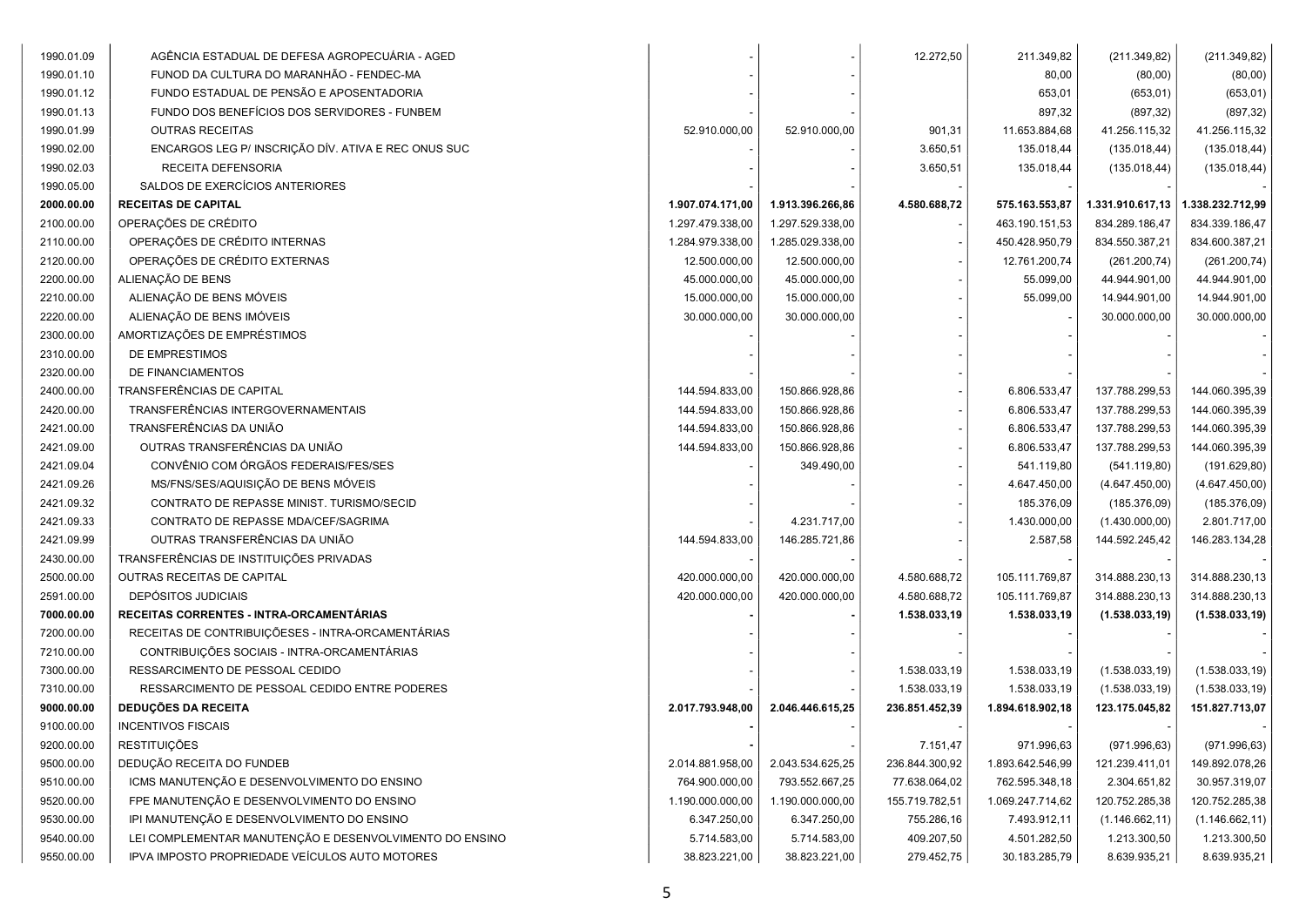| 1990.01.09 | AGÊNCIA ESTADUAL DE DEFESA AGROPECUÁRIA - AGED          |                  |                  | 12.272,50      | 211.349,82       | (211.349.82)     | (211.349,82)     |
|------------|---------------------------------------------------------|------------------|------------------|----------------|------------------|------------------|------------------|
| 1990.01.10 | FUNOD DA CULTURA DO MARANHÃO - FENDEC-MA                |                  |                  |                | 80,00            | (80,00)          | (80,00)          |
| 1990.01.12 | FUNDO ESTADUAL DE PENSÃO E APOSENTADORIA                |                  |                  |                | 653,01           | (653, 01)        | (653, 01)        |
| 1990.01.13 | FUNDO DOS BENEFÍCIOS DOS SERVIDORES - FUNBEM            |                  |                  |                | 897,32           | (897, 32)        | (897, 32)        |
| 1990.01.99 | <b>OUTRAS RECEITAS</b>                                  | 52.910.000,00    | 52.910.000,00    | 901,31         | 11.653.884,68    | 41.256.115,32    | 41.256.115,32    |
| 1990.02.00 | ENCARGOS LEG P/ INSCRIÇÃO DÍV. ATIVA E REC ONUS SUC     |                  |                  | 3.650,51       | 135.018,44       | (135.018, 44)    | (135.018, 44)    |
| 1990.02.03 | RECEITA DEFENSORIA                                      |                  |                  | 3.650,51       | 135.018,44       | (135.018, 44)    | (135.018, 44)    |
| 1990.05.00 | SALDOS DE EXERCÍCIOS ANTERIORES                         |                  |                  |                |                  |                  |                  |
| 2000.00.00 | <b>RECEITAS DE CAPITAL</b>                              | 1.907.074.171,00 | 1.913.396.266,86 | 4.580.688,72   | 575.163.553,87   | 1.331.910.617,13 | 1.338.232.712,99 |
| 2100.00.00 | OPERAÇÕES DE CRÉDITO                                    | 1.297.479.338,00 | 1.297.529.338,00 |                | 463.190.151,53   | 834.289.186,47   | 834.339.186,47   |
| 2110.00.00 | OPERAÇÕES DE CRÉDITO INTERNAS                           | 1.284.979.338,00 | 1.285.029.338,00 |                | 450.428.950,79   | 834.550.387,21   | 834.600.387,21   |
| 2120.00.00 | OPERAÇÕES DE CRÉDITO EXTERNAS                           | 12.500.000,00    | 12.500.000,00    |                | 12.761.200,74    | (261.200, 74)    | (261.200, 74)    |
| 2200.00.00 | ALIENAÇÃO DE BENS                                       | 45.000.000,00    | 45.000.000,00    |                | 55.099,00        | 44.944.901,00    | 44.944.901,00    |
| 2210.00.00 | ALIENAÇÃO DE BENS MÓVEIS                                | 15.000.000,00    | 15.000.000,00    |                | 55.099,00        | 14.944.901,00    | 14.944.901,00    |
| 2220.00.00 | ALIENAÇÃO DE BENS IMÓVEIS                               | 30.000.000,00    | 30.000.000,00    |                |                  | 30.000.000,00    | 30.000.000,00    |
| 2300.00.00 | AMORTIZAÇÕES DE EMPRÉSTIMOS                             |                  |                  |                |                  |                  |                  |
| 2310.00.00 | DE EMPRESTIMOS                                          |                  |                  |                |                  |                  |                  |
| 2320.00.00 | DE FINANCIAMENTOS                                       |                  |                  |                |                  |                  |                  |
| 2400.00.00 | TRANSFERÊNCIAS DE CAPITAL                               | 144.594.833,00   | 150.866.928,86   |                | 6.806.533,47     | 137.788.299,53   | 144.060.395,39   |
| 2420.00.00 | TRANSFERÊNCIAS INTERGOVERNAMENTAIS                      | 144.594.833,00   | 150.866.928,86   |                | 6.806.533,47     | 137.788.299,53   | 144.060.395,39   |
| 2421.00.00 | TRANSFERÊNCIAS DA UNIÃO                                 | 144.594.833,00   | 150.866.928,86   |                | 6.806.533,47     | 137.788.299,53   | 144.060.395,39   |
| 2421.09.00 | OUTRAS TRANSFERÊNCIAS DA UNIÃO                          | 144.594.833,00   | 150.866.928,86   |                | 6.806.533,47     | 137.788.299,53   | 144.060.395,39   |
| 2421.09.04 | CONVÊNIO COM ÓRGÃOS FEDERAIS/FES/SES                    |                  | 349.490,00       |                | 541.119,80       | (541.119,80)     | (191.629, 80)    |
| 2421.09.26 | MS/FNS/SES/AQUISIÇÃO DE BENS MÓVEIS                     |                  |                  |                | 4.647.450,00     | (4.647.450,00)   | (4.647.450,00)   |
| 2421.09.32 | CONTRATO DE REPASSE MINIST. TURISMO/SECID               |                  |                  |                | 185.376,09       | (185.376,09)     | (185.376,09)     |
| 2421.09.33 | CONTRATO DE REPASSE MDA/CEF/SAGRIMA                     |                  | 4.231.717,00     |                | 1.430.000,00     | (1.430.000,00)   | 2.801.717,00     |
| 2421.09.99 | OUTRAS TRANSFERÊNCIAS DA UNIÃO                          | 144.594.833,00   | 146.285.721,86   |                | 2.587,58         | 144.592.245,42   | 146.283.134,28   |
| 2430.00.00 | TRANSFERÊNCIAS DE INSTITUIÇÕES PRIVADAS                 |                  |                  |                |                  |                  |                  |
| 2500.00.00 | OUTRAS RECEITAS DE CAPITAL                              | 420.000.000,00   | 420.000.000,00   | 4.580.688,72   | 105.111.769,87   | 314.888.230,13   | 314.888.230,13   |
| 2591.00.00 | <b>DEPÓSITOS JUDICIAIS</b>                              | 420.000.000,00   | 420.000.000,00   | 4.580.688,72   | 105.111.769,87   | 314.888.230,13   | 314.888.230,13   |
| 7000.00.00 | RECEITAS CORRENTES - INTRA-ORCAMENTÁRIAS                |                  |                  | 1.538.033,19   | 1.538.033,19     | (1.538.033, 19)  | (1.538.033, 19)  |
| 7200.00.00 | RECEITAS DE CONTRIBUIÇÕESES - INTRA-ORCAMENTÁRIAS       |                  |                  |                |                  |                  |                  |
| 7210.00.00 | CONTRIBUIÇÕES SOCIAIS - INTRA-ORCAMENTÁRIAS             |                  |                  |                |                  |                  |                  |
| 7300.00.00 | RESSARCIMENTO DE PESSOAL CEDIDO                         |                  |                  | 1.538.033,19   | 1.538.033,19     | (1.538.033, 19)  | (1.538.033, 19)  |
| 7310.00.00 | RESSARCIMENTO DE PESSOAL CEDIDO ENTRE PODERES           |                  |                  | 1.538.033,19   | 1.538.033,19     | (1.538.033, 19)  | (1.538.033, 19)  |
| 9000.00.00 | <b>DEDUÇÕES DA RECEITA</b>                              | 2.017.793.948,00 | 2.046.446.615,25 | 236.851.452,39 | 1.894.618.902,18 | 123.175.045,82   | 151.827.713,07   |
| 9100.00.00 | <b>INCENTIVOS FISCAIS</b>                               |                  |                  |                |                  |                  |                  |
| 9200.00.00 | <b>RESTITUIÇÕES</b>                                     |                  |                  | 7.151,47       | 971.996,63       | (971.996, 63)    | (971.996, 63)    |
| 9500.00.00 | DEDUÇÃO RECEITA DO FUNDEB                               | 2.014.881.958,00 | 2.043.534.625,25 | 236.844.300,92 | 1.893.642.546,99 | 121.239.411,01   | 149.892.078,26   |
| 9510.00.00 | ICMS MANUTENÇÃO E DESENVOLVIMENTO DO ENSINO             | 764.900.000,00   | 793.552.667,25   | 77.638.064,02  | 762.595.348,18   | 2.304.651,82     | 30.957.319,07    |
| 9520.00.00 | FPE MANUTENÇÃO E DESENVOLVIMENTO DO ENSINO              | 1.190.000.000,00 | 1.190.000.000,00 | 155.719.782,51 | 1.069.247.714,62 | 120.752.285,38   | 120.752.285,38   |
| 9530.00.00 | IPI MANUTENÇÃO E DESENVOLVIMENTO DO ENSINO              | 6.347.250,00     | 6.347.250,00     | 755.286,16     | 7.493.912,11     | (1.146.662, 11)  | (1.146.662, 11)  |
| 9540.00.00 | LEI COMPLEMENTAR MANUTENÇÃO E DESENVOLVIMENTO DO ENSINO | 5.714.583,00     | 5.714.583,00     | 409.207,50     | 4.501.282,50     | 1.213.300,50     | 1.213.300,50     |
| 9550.00.00 | IPVA IMPOSTO PROPRIEDADE VEÍCULOS AUTO MOTORES          | 38.823.221,00    | 38.823.221,00    | 279.452,75     | 30.183.285,79    | 8.639.935,21     | 8.639.935,21     |